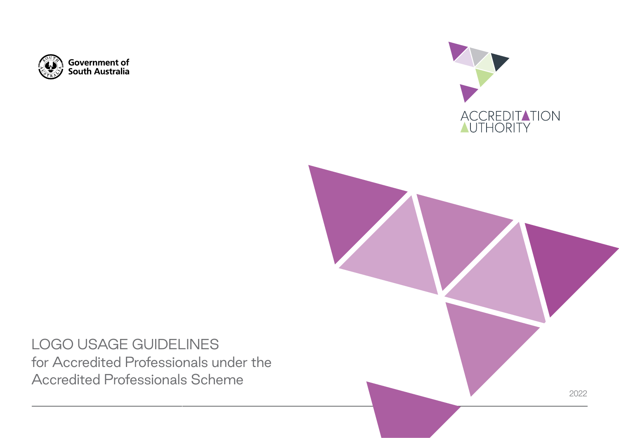





LOGO USAGE GUIDELINES for Accredited Professionals under the Accredited Professionals Scheme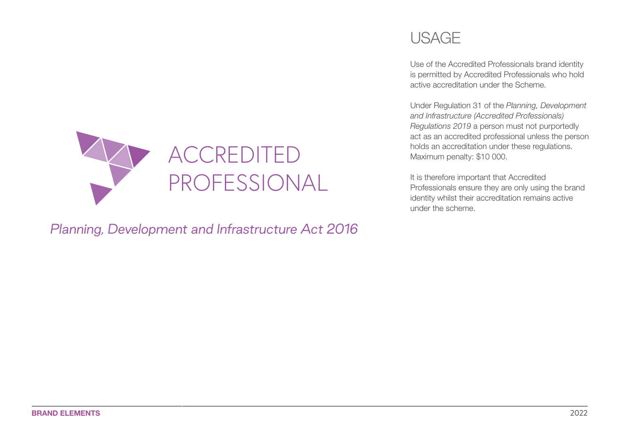

*Planning, Development and Infrastructure Act 2016*

## USAGE

Use of the Accredited Professionals brand identity is permitted by Accredited Professionals who hold active accreditation under the Scheme.

Under Regulation 31 of the *Planning, Development and Infrastructure (Accredited Professionals) Regulations 2019* a person must not purportedly act as an accredited professional unless the person holds an accreditation under these regulations. Maximum penalty: \$10 000.

It is therefore important that Accredited Professionals ensure they are only using the brand identity whilst their accreditation remains active under the scheme.